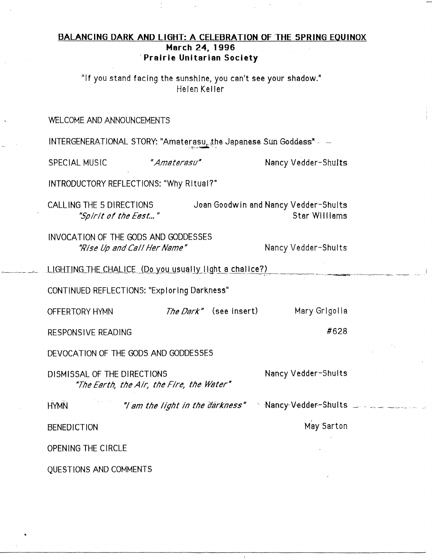## BALANCING DARK AND LIGHT: A CELEBRATION OF THE SPRING EQUINOX March 24, 1996 Prairie Unitarian Society

"If you stand facing the sunshine, you can't see your shadow." Helen Keller

## WELCOME AND ANNOUNCEMENTS

INTERGENERATIONAL STORY: "Amaterasu, the Japanese Sun Goddess" - ~

"Amaterasu"

SPECIAL MUSIC

Nancy Vedder-Shults

INTRODUCTORY REFLECTIONS: "Why Ritual?"

Joan Goodwin and Nancy Vedder-Shults CALLING THE 5 DIRECTIONS Star Williams "Spirit of the East..."

INVOCATION OF THE GODS AND GODDESSES "Rise Up and Call Her Name"

Nancy Vedder-Shults

LIGHTING THE CHALICE (Do you usually light a chalice?)

CONTINUED REFLECTIONS: "Exploring Darkness"

Mary Grigolia The Dark" (see insert) OFFERTORY HYMN

**RESPONSIVE READING** 

DEVOCATION OF THE GODS AND GODDESSES

Nancy Vedder-Shults DISMISSAL OF THE DIRECTIONS "The Earth, the Air, the Fire, the Water"

"I am the light in the darkness" Nancy Vedder-Shults **HYMN** 

**BENEDICTION** 

May Sarton

#628

OPENING THE CIRCLE

QUESTIONS AND COMMENTS